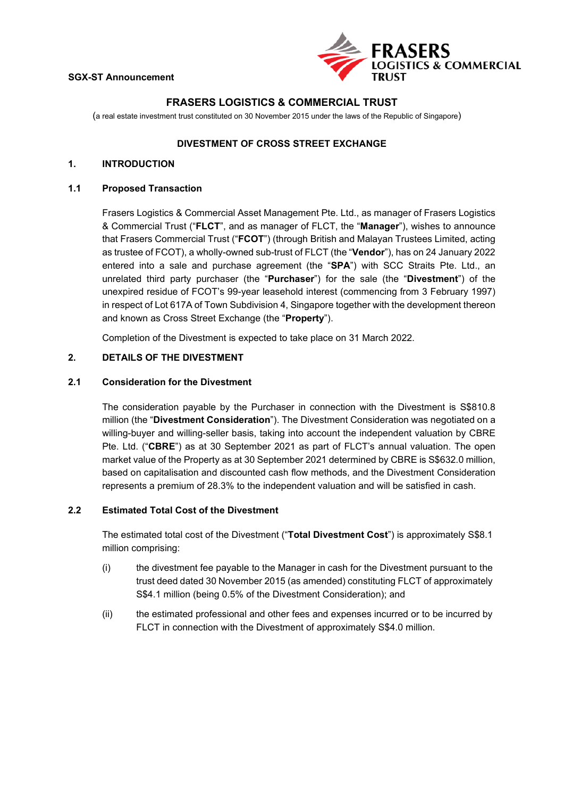

# **FRASERS LOGISTICS & COMMERCIAL TRUST**

(a real estate investment trust constituted on 30 November 2015 under the laws of the Republic of Singapore)

## **DIVESTMENT OF CROSS STREET EXCHANGE**

# **1. INTRODUCTION**

### **1.1 Proposed Transaction**

Frasers Logistics & Commercial Asset Management Pte. Ltd., as manager of Frasers Logistics & Commercial Trust ("**FLCT**", and as manager of FLCT, the "**Manager**"), wishes to announce that Frasers Commercial Trust ("**FCOT**") (through British and Malayan Trustees Limited, acting as trustee of FCOT), a wholly-owned sub-trust of FLCT (the "**Vendor**"), has on 24 January 2022 entered into a sale and purchase agreement (the "**SPA**") with SCC Straits Pte. Ltd., an unrelated third party purchaser (the "**Purchaser**") for the sale (the "**Divestment**") of the unexpired residue of FCOT's 99-year leasehold interest (commencing from 3 February 1997) in respect of Lot 617A of Town Subdivision 4, Singapore together with the development thereon and known as Cross Street Exchange (the "**Property**").

Completion of the Divestment is expected to take place on 31 March 2022.

## **2. DETAILS OF THE DIVESTMENT**

### **2.1 Consideration for the Divestment**

The consideration payable by the Purchaser in connection with the Divestment is S\$810.8 million (the "**Divestment Consideration**"). The Divestment Consideration was negotiated on a willing-buyer and willing-seller basis, taking into account the independent valuation by CBRE Pte. Ltd. ("**CBRE**") as at 30 September 2021 as part of FLCT's annual valuation. The open market value of the Property as at 30 September 2021 determined by CBRE is S\$632.0 million, based on capitalisation and discounted cash flow methods, and the Divestment Consideration represents a premium of 28.3% to the independent valuation and will be satisfied in cash.

## **2.2 Estimated Total Cost of the Divestment**

The estimated total cost of the Divestment ("**Total Divestment Cost**") is approximately S\$8.1 million comprising:

- (i) the divestment fee payable to the Manager in cash for the Divestment pursuant to the trust deed dated 30 November 2015 (as amended) constituting FLCT of approximately S\$4.1 million (being 0.5% of the Divestment Consideration); and
- (ii) the estimated professional and other fees and expenses incurred or to be incurred by FLCT in connection with the Divestment of approximately S\$4.0 million.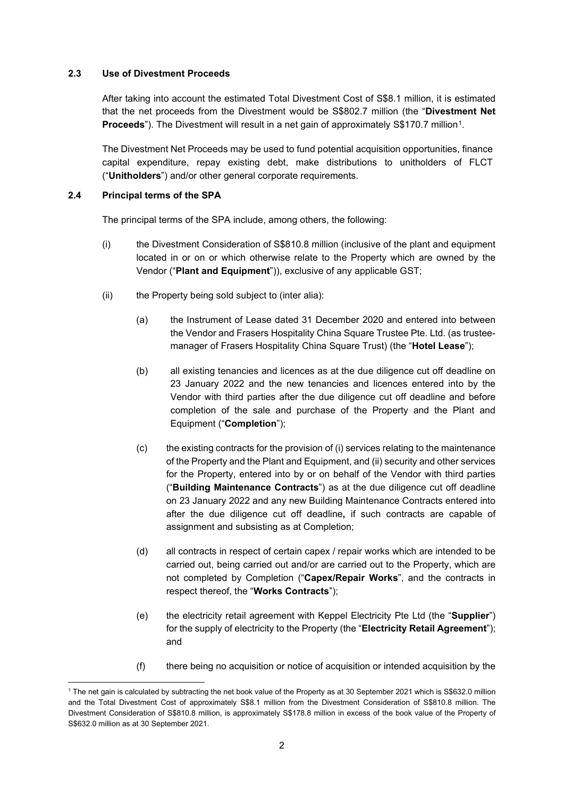## **2.3 Use of Divestment Proceeds**

After taking into account the estimated Total Divestment Cost of S\$8.1 million, it is estimated that the net proceeds from the Divestment would be S\$802.7 million (the "**Divestment Net Proceeds**"). The Divestment will result in a net gain of approximately S\$170.7 million<sup>1</sup>.

The Divestment Net Proceeds may be used to fund potential acquisition opportunities, finance capital expenditure, repay existing debt, make distributions to unitholders of FLCT ("**Unitholders**") and/or other general corporate requirements.

### **2.4 Principal terms of the SPA**

The principal terms of the SPA include, among others, the following:

- (i) the Divestment Consideration of S\$810.8 million (inclusive of the plant and equipment located in or on or which otherwise relate to the Property which are owned by the Vendor ("**Plant and Equipment**")), exclusive of any applicable GST;
- (ii) the Property being sold subject to (inter alia):
	- (a) the Instrument of Lease dated 31 December 2020 and entered into between the Vendor and Frasers Hospitality China Square Trustee Pte. Ltd. (as trusteemanager of Frasers Hospitality China Square Trust) (the "**Hotel Lease**");
	- (b) all existing tenancies and licences as at the due diligence cut off deadline on 23 January 2022 and the new tenancies and licences entered into by the Vendor with third parties after the due diligence cut off deadline and before completion of the sale and purchase of the Property and the Plant and Equipment ("**Completion**");
	- (c) the existing contracts for the provision of (i) services relating to the maintenance of the Property and the Plant and Equipment, and (ii) security and other services for the Property, entered into by or on behalf of the Vendor with third parties ("**Building Maintenance Contracts**") as at the due diligence cut off deadline on 23 January 2022 and any new Building Maintenance Contracts entered into after the due diligence cut off deadline**,** if such contracts are capable of assignment and subsisting as at Completion;
	- (d) all contracts in respect of certain capex / repair works which are intended to be carried out, being carried out and/or are carried out to the Property, which are not completed by Completion ("**Capex/Repair Works**", and the contracts in respect thereof, the "**Works Contracts**");
	- (e) the electricity retail agreement with Keppel Electricity Pte Ltd (the "**Supplier**") for the supply of electricity to the Property (the "**Electricity Retail Agreement**"); and
	- (f) there being no acquisition or notice of acquisition or intended acquisition by the

<span id="page-1-0"></span><sup>&</sup>lt;sup>1</sup> The net gain is calculated by subtracting the net book value of the Property as at 30 September 2021 which is S\$632.0 million and the Total Divestment Cost of approximately S\$8.1 million from the Divestment Consideration of S\$810.8 million. The Divestment Consideration of S\$810.8 million, is approximately S\$178.8 million in excess of the book value of the Property of S\$632.0 million as at 30 September 2021.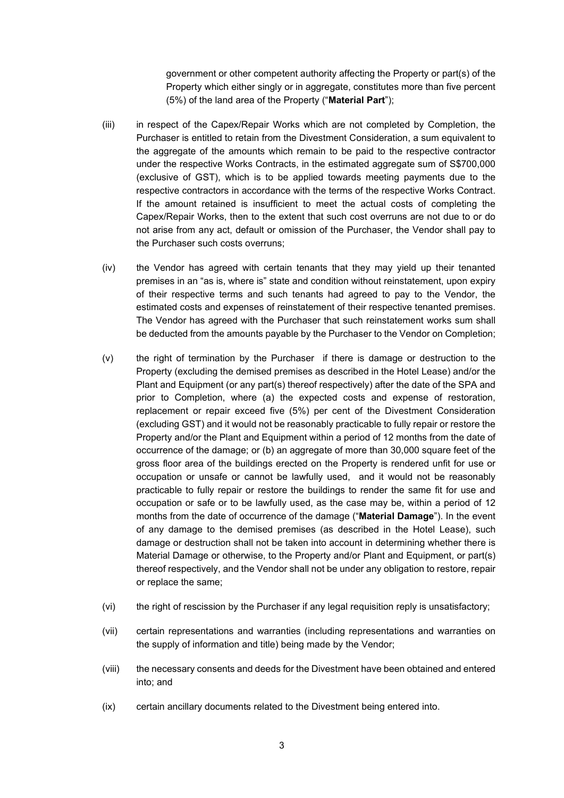government or other competent authority affecting the Property or part(s) of the Property which either singly or in aggregate, constitutes more than five percent (5%) of the land area of the Property ("**Material Part**");

- (iii) in respect of the Capex/Repair Works which are not completed by Completion, the Purchaser is entitled to retain from the Divestment Consideration, a sum equivalent to the aggregate of the amounts which remain to be paid to the respective contractor under the respective Works Contracts, in the estimated aggregate sum of S\$700,000 (exclusive of GST), which is to be applied towards meeting payments due to the respective contractors in accordance with the terms of the respective Works Contract. If the amount retained is insufficient to meet the actual costs of completing the Capex/Repair Works, then to the extent that such cost overruns are not due to or do not arise from any act, default or omission of the Purchaser, the Vendor shall pay to the Purchaser such costs overruns;
- (iv) the Vendor has agreed with certain tenants that they may yield up their tenanted premises in an "as is, where is" state and condition without reinstatement, upon expiry of their respective terms and such tenants had agreed to pay to the Vendor, the estimated costs and expenses of reinstatement of their respective tenanted premises. The Vendor has agreed with the Purchaser that such reinstatement works sum shall be deducted from the amounts payable by the Purchaser to the Vendor on Completion;
- (v) the right of termination by the Purchaser if there is damage or destruction to the Property (excluding the demised premises as described in the Hotel Lease) and/or the Plant and Equipment (or any part(s) thereof respectively) after the date of the SPA and prior to Completion, where (a) the expected costs and expense of restoration, replacement or repair exceed five (5%) per cent of the Divestment Consideration (excluding GST) and it would not be reasonably practicable to fully repair or restore the Property and/or the Plant and Equipment within a period of 12 months from the date of occurrence of the damage; or (b) an aggregate of more than 30,000 square feet of the gross floor area of the buildings erected on the Property is rendered unfit for use or occupation or unsafe or cannot be lawfully used, and it would not be reasonably practicable to fully repair or restore the buildings to render the same fit for use and occupation or safe or to be lawfully used, as the case may be, within a period of 12 months from the date of occurrence of the damage ("**Material Damage**"). In the event of any damage to the demised premises (as described in the Hotel Lease), such damage or destruction shall not be taken into account in determining whether there is Material Damage or otherwise, to the Property and/or Plant and Equipment, or part(s) thereof respectively, and the Vendor shall not be under any obligation to restore, repair or replace the same;
- (vi) the right of rescission by the Purchaser if any legal requisition reply is unsatisfactory;
- (vii) certain representations and warranties (including representations and warranties on the supply of information and title) being made by the Vendor;
- (viii) the necessary consents and deeds for the Divestment have been obtained and entered into; and
- (ix) certain ancillary documents related to the Divestment being entered into.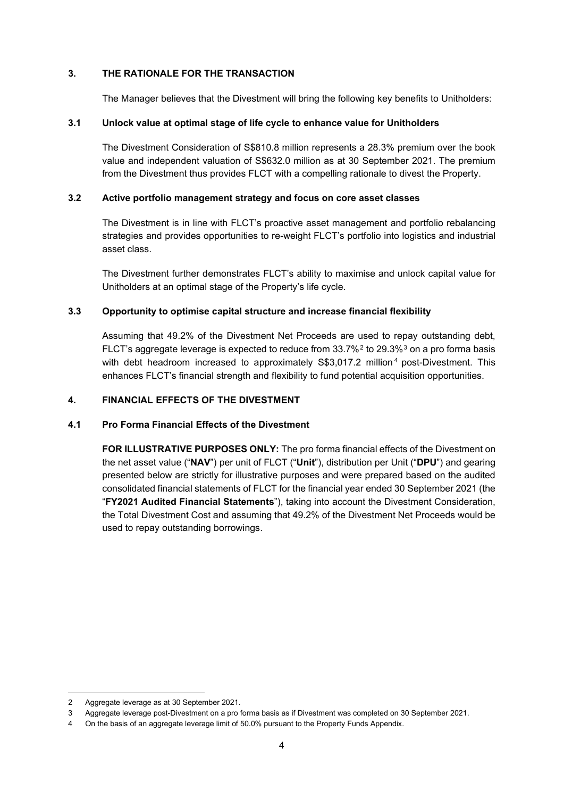# **3. THE RATIONALE FOR THE TRANSACTION**

The Manager believes that the Divestment will bring the following key benefits to Unitholders:

# **3.1 Unlock value at optimal stage of life cycle to enhance value for Unitholders**

The Divestment Consideration of S\$810.8 million represents a 28.3% premium over the book value and independent valuation of S\$632.0 million as at 30 September 2021. The premium from the Divestment thus provides FLCT with a compelling rationale to divest the Property.

# **3.2 Active portfolio management strategy and focus on core asset classes**

The Divestment is in line with FLCT's proactive asset management and portfolio rebalancing strategies and provides opportunities to re-weight FLCT's portfolio into logistics and industrial asset class.

The Divestment further demonstrates FLCT's ability to maximise and unlock capital value for Unitholders at an optimal stage of the Property's life cycle.

# **3.3 Opportunity to optimise capital structure and increase financial flexibility**

Assuming that 49.2% of the Divestment Net Proceeds are used to repay outstanding debt, FLCT's aggregate leverage is expected to reduce from  $33.7\%$  $33.7\%$ <sup>[2](#page-3-0)</sup> to 29.3%<sup>3</sup> on a pro forma basis with debt headroom increased to approximately S\$3,017.2 million<sup>[4](#page-3-2)</sup> post-Divestment. This enhances FLCT's financial strength and flexibility to fund potential acquisition opportunities.

# **4. FINANCIAL EFFECTS OF THE DIVESTMENT**

# **4.1 Pro Forma Financial Effects of the Divestment**

**FOR ILLUSTRATIVE PURPOSES ONLY:** The pro forma financial effects of the Divestment on the net asset value ("**NAV**") per unit of FLCT ("**Unit**"), distribution per Unit ("**DPU**") and gearing presented below are strictly for illustrative purposes and were prepared based on the audited consolidated financial statements of FLCT for the financial year ended 30 September 2021 (the "**FY2021 Audited Financial Statements**"), taking into account the Divestment Consideration, the Total Divestment Cost and assuming that 49.2% of the Divestment Net Proceeds would be used to repay outstanding borrowings.

<span id="page-3-0"></span><sup>2</sup> Aggregate leverage as at 30 September 2021.

<sup>3</sup> Aggregate leverage post-Divestment on a pro forma basis as if Divestment was completed on 30 September 2021.

<span id="page-3-2"></span><span id="page-3-1"></span>On the basis of an aggregate leverage limit of 50.0% pursuant to the Property Funds Appendix.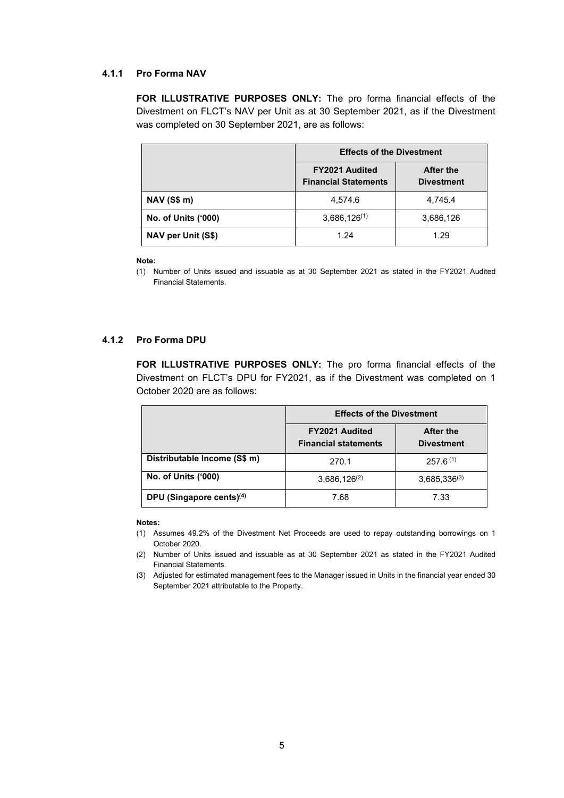### **4.1.1 Pro Forma NAV**

**FOR ILLUSTRATIVE PURPOSES ONLY:** The pro forma financial effects of the Divestment on FLCT's NAV per Unit as at 30 September 2021, as if the Divestment was completed on 30 September 2021, are as follows:

|                            | <b>Effects of the Divestment</b>                     |                                |  |
|----------------------------|------------------------------------------------------|--------------------------------|--|
|                            | <b>FY2021 Audited</b><br><b>Financial Statements</b> | After the<br><b>Divestment</b> |  |
| <b>NAV (S\$ m)</b>         | 4,574.6                                              | 4,745.4                        |  |
| <b>No. of Units ('000)</b> | $3,686,126^{(1)}$                                    | 3,686,126                      |  |
| NAV per Unit (S\$)         | 1.24                                                 | 1.29                           |  |

#### **Note:**

(1) Number of Units issued and issuable as at 30 September 2021 as stated in the FY2021 Audited Financial Statements.

# **4.1.2 Pro Forma DPU**

**FOR ILLUSTRATIVE PURPOSES ONLY:** The pro forma financial effects of the Divestment on FLCT's DPU for FY2021, as if the Divestment was completed on 1 October 2020 are as follows:

|                                      | <b>Effects of the Divestment</b>                     |                                       |  |
|--------------------------------------|------------------------------------------------------|---------------------------------------|--|
|                                      | <b>FY2021 Audited</b><br><b>Financial statements</b> | <b>After the</b><br><b>Divestment</b> |  |
| Distributable Income (S\$ m)         | 270.1                                                | $257.6^{(1)}$                         |  |
| <b>No. of Units ('000)</b>           | $3,686,126^{(2)}$                                    | $3,685,336^{(3)}$                     |  |
| DPU (Singapore cents) <sup>(4)</sup> | 7.68                                                 | 7.33                                  |  |

#### **Notes:**

(1) Assumes 49.2% of the Divestment Net Proceeds are used to repay outstanding borrowings on 1 October 2020.

(2) Number of Units issued and issuable as at 30 September 2021 as stated in the FY2021 Audited Financial Statements.

(3) Adjusted for estimated management fees to the Manager issued in Units in the financial year ended 30 September 2021 attributable to the Property.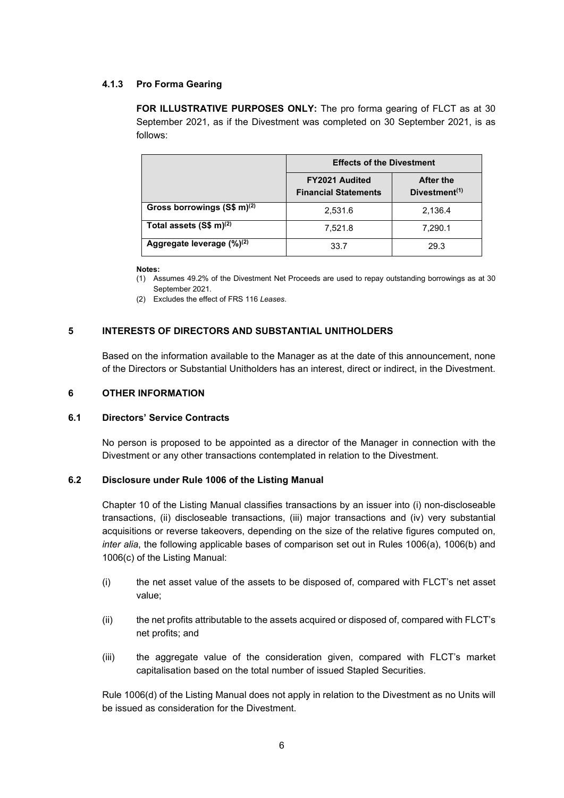## **4.1.3 Pro Forma Gearing**

**FOR ILLUSTRATIVE PURPOSES ONLY:** The pro forma gearing of FLCT as at 30 September 2021, as if the Divestment was completed on 30 September 2021, is as follows:

|                                       | <b>Effects of the Divestment</b>                     |                               |  |
|---------------------------------------|------------------------------------------------------|-------------------------------|--|
|                                       | <b>FY2021 Audited</b><br><b>Financial Statements</b> | After the<br>Divestment $(1)$ |  |
| Gross borrowings $(S$ m)^{(2)}$       | 2,531.6                                              | 2,136.4                       |  |
| Total assets $(S$ m)^{(2)}$           | 7,521.8                                              | 7,290.1                       |  |
| Aggregate leverage (%) <sup>(2)</sup> | 33.7                                                 | 29.3                          |  |

#### **Notes:**

(1) Assumes 49.2% of the Divestment Net Proceeds are used to repay outstanding borrowings as at 30 September 2021.

(2) Excludes the effect of FRS 116 *Leases*.

# **5 INTERESTS OF DIRECTORS AND SUBSTANTIAL UNITHOLDERS**

Based on the information available to the Manager as at the date of this announcement, none of the Directors or Substantial Unitholders has an interest, direct or indirect, in the Divestment.

#### **6 OTHER INFORMATION**

#### **6.1 Directors' Service Contracts**

No person is proposed to be appointed as a director of the Manager in connection with the Divestment or any other transactions contemplated in relation to the Divestment.

#### **6.2 Disclosure under Rule 1006 of the Listing Manual**

Chapter 10 of the Listing Manual classifies transactions by an issuer into (i) non-discloseable transactions, (ii) discloseable transactions, (iii) major transactions and (iv) very substantial acquisitions or reverse takeovers, depending on the size of the relative figures computed on, *inter alia*, the following applicable bases of comparison set out in Rules 1006(a), 1006(b) and 1006(c) of the Listing Manual:

- (i) the net asset value of the assets to be disposed of, compared with FLCT's net asset value;
- (ii) the net profits attributable to the assets acquired or disposed of, compared with FLCT's net profits; and
- (iii) the aggregate value of the consideration given, compared with FLCT's market capitalisation based on the total number of issued Stapled Securities.

Rule 1006(d) of the Listing Manual does not apply in relation to the Divestment as no Units will be issued as consideration for the Divestment.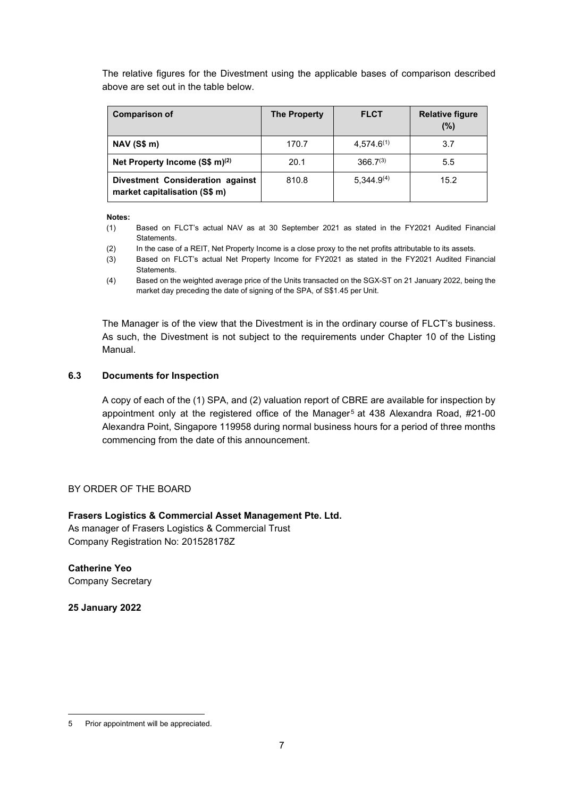The relative figures for the Divestment using the applicable bases of comparison described above are set out in the table below.

| <b>Comparison of</b>                                              | <b>The Property</b> | <b>FLCT</b>     | <b>Relative figure</b><br>(%) |
|-------------------------------------------------------------------|---------------------|-----------------|-------------------------------|
| <b>NAV (S\$ m)</b>                                                | 170.7               | $4.574.6^{(1)}$ | 3.7                           |
| Net Property Income $(S\$ m) <sup>(2)</sup>                       | 20.1                | $366.7^{(3)}$   | 5.5                           |
| Divestment Consideration against<br>market capitalisation (S\$ m) | 810.8               | $5,344.9^{(4)}$ | 15.2                          |

**Notes:**

- (1) Based on FLCT's actual NAV as at 30 September 2021 as stated in the FY2021 Audited Financial **Statements**
- (2) In the case of a REIT, Net Property Income is a close proxy to the net profits attributable to its assets.
- (3) Based on FLCT's actual Net Property Income for FY2021 as stated in the FY2021 Audited Financial **Statements**
- (4) Based on the weighted average price of the Units transacted on the SGX-ST on 21 January 2022, being the market day preceding the date of signing of the SPA, of S\$1.45 per Unit.

The Manager is of the view that the Divestment is in the ordinary course of FLCT's business. As such, the Divestment is not subject to the requirements under Chapter 10 of the Listing Manual.

# **6.3 Documents for Inspection**

A copy of each of the (1) SPA, and (2) valuation report of CBRE are available for inspection by appointment only at the registered office of the Manager<sup>[5](#page-6-0)</sup> at 438 Alexandra Road, #21-00 Alexandra Point, Singapore 119958 during normal business hours for a period of three months commencing from the date of this announcement.

# BY ORDER OF THE BOARD

## **Frasers Logistics & Commercial Asset Management Pte. Ltd.**

As manager of Frasers Logistics & Commercial Trust Company Registration No: 201528178Z

**Catherine Yeo** Company Secretary

**25 January 2022**

<span id="page-6-0"></span><sup>5</sup> Prior appointment will be appreciated.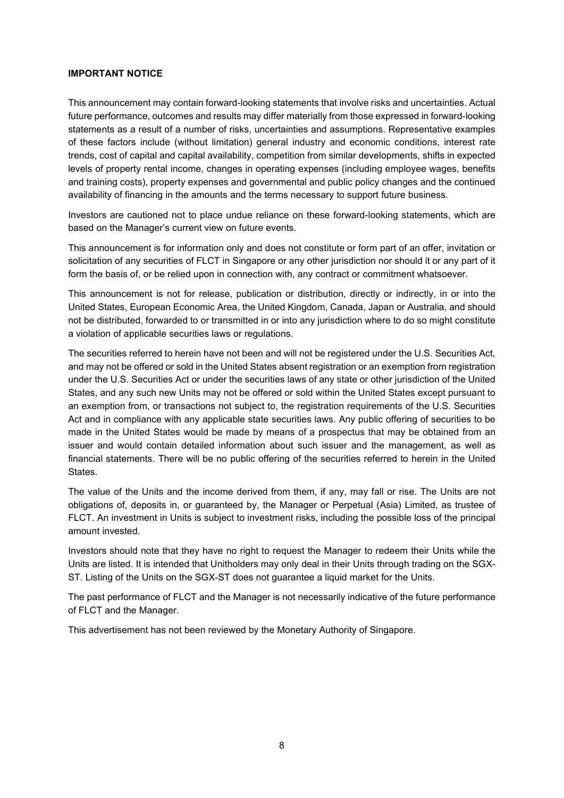#### **IMPORTANT NOTICE**

This announcement may contain forward-looking statements that involve risks and uncertainties. Actual future performance, outcomes and results may differ materially from those expressed in forward-looking statements as a result of a number of risks, uncertainties and assumptions. Representative examples of these factors include (without limitation) general industry and economic conditions, interest rate trends, cost of capital and capital availability, competition from similar developments, shifts in expected levels of property rental income, changes in operating expenses (including employee wages, benefits and training costs), property expenses and governmental and public policy changes and the continued availability of financing in the amounts and the terms necessary to support future business.

Investors are cautioned not to place undue reliance on these forward-looking statements, which are based on the Manager's current view on future events.

This announcement is for information only and does not constitute or form part of an offer, invitation or solicitation of any securities of FLCT in Singapore or any other jurisdiction nor should it or any part of it form the basis of, or be relied upon in connection with, any contract or commitment whatsoever.

This announcement is not for release, publication or distribution, directly or indirectly, in or into the United States, European Economic Area, the United Kingdom, Canada, Japan or Australia, and should not be distributed, forwarded to or transmitted in or into any jurisdiction where to do so might constitute a violation of applicable securities laws or regulations.

The securities referred to herein have not been and will not be registered under the U.S. Securities Act, and may not be offered or sold in the United States absent registration or an exemption from registration under the U.S. Securities Act or under the securities laws of any state or other jurisdiction of the United States, and any such new Units may not be offered or sold within the United States except pursuant to an exemption from, or transactions not subject to, the registration requirements of the U.S. Securities Act and in compliance with any applicable state securities laws. Any public offering of securities to be made in the United States would be made by means of a prospectus that may be obtained from an issuer and would contain detailed information about such issuer and the management, as well as financial statements. There will be no public offering of the securities referred to herein in the United States.

The value of the Units and the income derived from them, if any, may fall or rise. The Units are not obligations of, deposits in, or guaranteed by, the Manager or Perpetual (Asia) Limited, as trustee of FLCT. An investment in Units is subject to investment risks, including the possible loss of the principal amount invested.

Investors should note that they have no right to request the Manager to redeem their Units while the Units are listed. It is intended that Unitholders may only deal in their Units through trading on the SGX-ST. Listing of the Units on the SGX-ST does not guarantee a liquid market for the Units.

The past performance of FLCT and the Manager is not necessarily indicative of the future performance of FLCT and the Manager.

This advertisement has not been reviewed by the Monetary Authority of Singapore.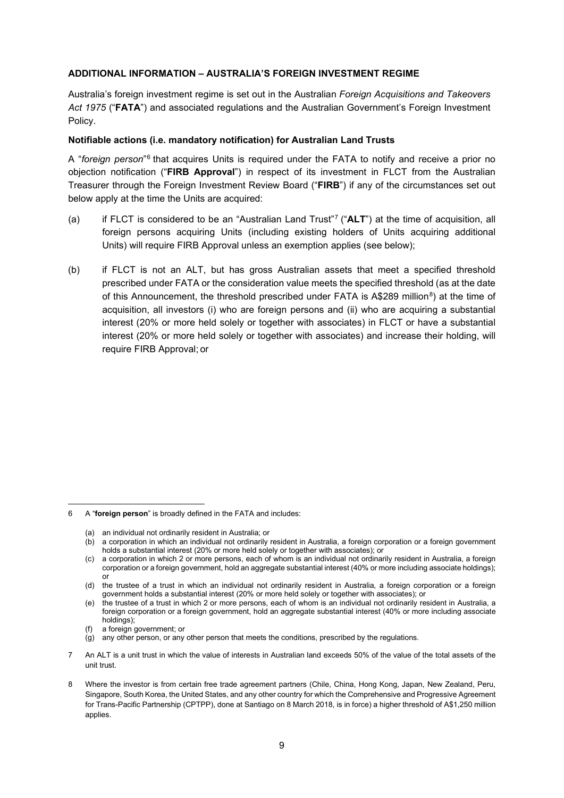### **ADDITIONAL INFORMATION – AUSTRALIA'S FOREIGN INVESTMENT REGIME**

Australia's foreign investment regime is set out in the Australian *Foreign Acquisitions and Takeovers Act 1975* ("**FATA**") and associated regulations and the Australian Government's Foreign Investment Policy.

#### **Notifiable actions (i.e. mandatory notification) for Australian Land Trusts**

A "*foreign person*"[6](#page-8-0) that acquires Units is required under the FATA to notify and receive a prior no objection notification ("**FIRB Approval**") in respect of its investment in FLCT from the Australian Treasurer through the Foreign Investment Review Board ("**FIRB**") if any of the circumstances set out below apply at the time the Units are acquired:

- (a) if FLCT is considered to be an "Australian Land Trust"[7](#page-8-1) ("**ALT**") at the time of acquisition, all foreign persons acquiring Units (including existing holders of Units acquiring additional Units) will require FIRB Approval unless an exemption applies (see below);
- (b) if FLCT is not an ALT, but has gross Australian assets that meet a specified threshold prescribed under FATA or the consideration value meets the specified threshold (as at the date of this Announcement, the threshold prescribed under FATA is A\$2[8](#page-8-2)9 million<sup>8</sup>) at the time of acquisition, all investors (i) who are foreign persons and (ii) who are acquiring a substantial interest (20% or more held solely or together with associates) in FLCT or have a substantial interest (20% or more held solely or together with associates) and increase their holding, will require FIRB Approval; or

- any other person, or any other person that meets the conditions, prescribed by the regulations.
- <span id="page-8-1"></span>7 An ALT is a unit trust in which the value of interests in Australian land exceeds 50% of the value of the total assets of the unit trust.

<span id="page-8-0"></span><sup>6</sup> A "**foreign person**" is broadly defined in the FATA and includes:

<sup>(</sup>a) an individual not ordinarily resident in Australia; or

<sup>(</sup>b) a corporation in which an individual not ordinarily resident in Australia, a foreign corporation or a foreign government holds a substantial interest (20% or more held solely or together with associates); or

<sup>(</sup>c) a corporation in which 2 or more persons, each of whom is an individual not ordinarily resident in Australia, a foreign corporation or a foreign government, hold an aggregate substantial interest (40% or more including associate holdings); or

<sup>(</sup>d) the trustee of a trust in which an individual not ordinarily resident in Australia, a foreign corporation or a foreign government holds a substantial interest (20% or more held solely or together with associates); or

<sup>(</sup>e) the trustee of a trust in which 2 or more persons, each of whom is an individual not ordinarily resident in Australia, a foreign corporation or a foreign government, hold an aggregate substantial interest (40% or more including associate holdings);

a foreign government; or

<span id="page-8-2"></span><sup>8</sup> Where the investor is from certain free trade agreement partners (Chile, China, Hong Kong, Japan, New Zealand, Peru, Singapore, South Korea, the United States, and any other country for which the Comprehensive and Progressive Agreement for Trans-Pacific Partnership (CPTPP), done at Santiago on 8 March 2018, is in force) a higher threshold of A\$1,250 million applies.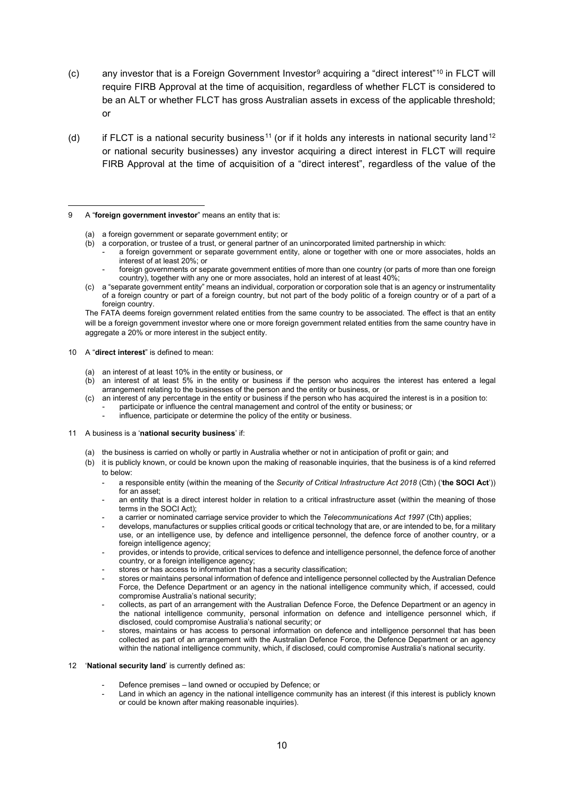- (c) any investor that is a Foreign Government Investor<sup>[9](#page-9-0)</sup> acquiring a "direct interest"<sup>[10](#page-9-1)</sup> in FLCT will require FIRB Approval at the time of acquisition, regardless of whether FLCT is considered to be an ALT or whether FLCT has gross Australian assets in excess of the applicable threshold; or
- (d) if FLCT is a national security business<sup>[11](#page-9-2)</sup> (or if it holds any interests in national security land<sup>[12](#page-9-3)</sup> or national security businesses) any investor acquiring a direct interest in FLCT will require FIRB Approval at the time of acquisition of a "direct interest", regardless of the value of the

- (b) a corporation, or trustee of a trust, or general partner of an unincorporated limited partnership in which:
	- a foreign government or separate government entity, alone or together with one or more associates, holds an interest of at least 20%; or
	- foreign governments or separate government entities of more than one country (or parts of more than one foreign country), together with any one or more associates, hold an interest of at least 40%;
- (c) a "separate government entity" means an individual, corporation or corporation sole that is an agency or instrumentality of a foreign country or part of a foreign country, but not part of the body politic of a foreign country or of a part of a foreign country.

The FATA deems foreign government related entities from the same country to be associated. The effect is that an entity will be a foreign government investor where one or more foreign government related entities from the same country have in aggregate a 20% or more interest in the subject entity.

#### <span id="page-9-1"></span>10 A "**direct interest**" is defined to mean:

- (a) an interest of at least 10% in the entity or business, or
- (b) an interest of at least 5% in the entity or business if the person who acquires the interest has entered a legal arrangement relating to the businesses of the person and the entity or business, or
- (c) an interest of any percentage in the entity or business if the person who has acquired the interest is in a position to: participate or influence the central management and control of the entity or business; or
	- influence, participate or determine the policy of the entity or business.

#### <span id="page-9-2"></span>11 A business is a '**national security business**' if:

- (a) the business is carried on wholly or partly in Australia whether or not in anticipation of profit or gain; and
- (b) it is publicly known, or could be known upon the making of reasonable inquiries, that the business is of a kind referred to below:
	- a responsible entity (within the meaning of the *Security of Critical Infrastructure Act 2018* (Cth) ('**the SOCI Act**')) for an asset;
	- an entity that is a direct interest holder in relation to a critical infrastructure asset (within the meaning of those terms in the SOCI Act);
	- a carrier or nominated carriage service provider to which the *Telecommunications Act 1997* (Cth) applies;
	- develops, manufactures or supplies critical goods or critical technology that are, or are intended to be, for a military use, or an intelligence use, by defence and intelligence personnel, the defence force of another country, or a foreign intelligence agency;
	- provides, or intends to provide, critical services to defence and intelligence personnel, the defence force of another country, or a foreign intelligence agency;
	- stores or has access to information that has a security classification;
	- stores or maintains personal information of defence and intelligence personnel collected by the Australian Defence Force, the Defence Department or an agency in the national intelligence community which, if accessed, could compromise Australia's national security;
	- collects, as part of an arrangement with the Australian Defence Force, the Defence Department or an agency in the national intelligence community, personal information on defence and intelligence personnel which, if disclosed, could compromise Australia's national security; or
	- stores, maintains or has access to personal information on defence and intelligence personnel that has been collected as part of an arrangement with the Australian Defence Force, the Defence Department or an agency within the national intelligence community, which, if disclosed, could compromise Australia's national security.
- <span id="page-9-3"></span>12 '**National security land**' is currently defined as:
	- Defence premises land owned or occupied by Defence; or
	- Land in which an agency in the national intelligence community has an interest (if this interest is publicly known or could be known after making reasonable inquiries).

<span id="page-9-0"></span><sup>9</sup> A "**foreign government investor**" means an entity that is:

<sup>(</sup>a) a foreign government or separate government entity; or